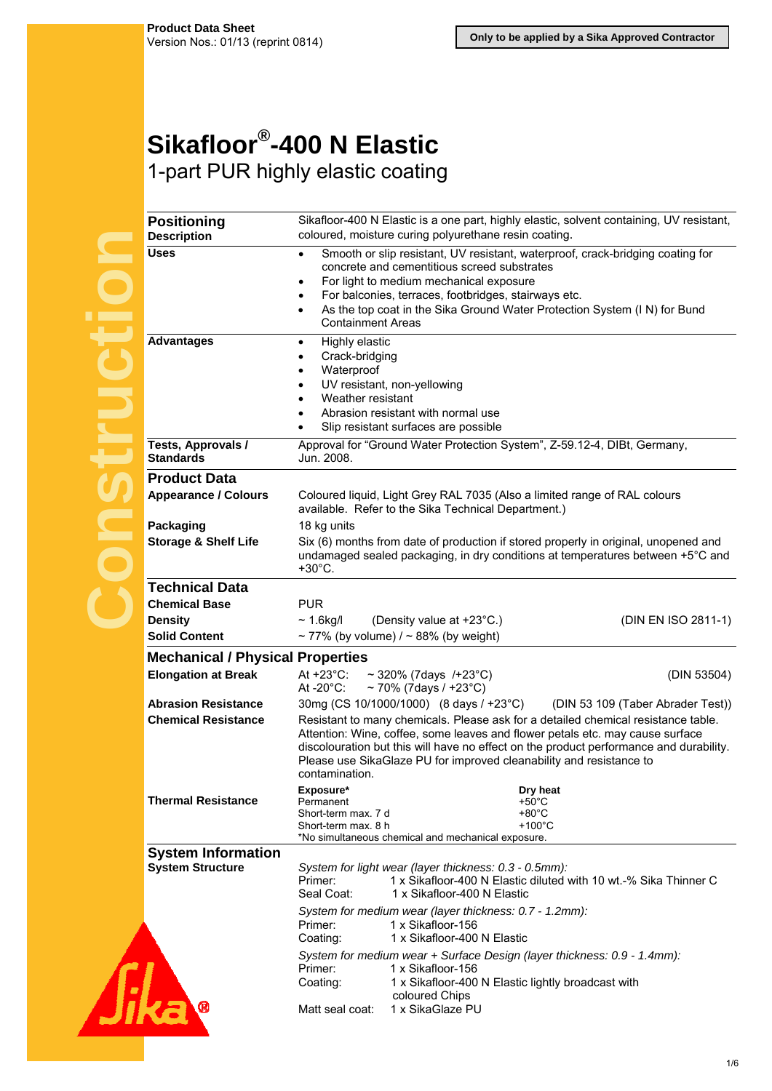## **Sikafloor®-400 N Elastic**  1-part PUR highly elastic coating

| <b>Positioning</b><br><b>Description</b> | Sikafloor-400 N Elastic is a one part, highly elastic, solvent containing, UV resistant,<br>coloured, moisture curing polyurethane resin coating.                                                                                                                                                                                                     |                                   |  |
|------------------------------------------|-------------------------------------------------------------------------------------------------------------------------------------------------------------------------------------------------------------------------------------------------------------------------------------------------------------------------------------------------------|-----------------------------------|--|
| <b>Uses</b>                              | Smooth or slip resistant, UV resistant, waterproof, crack-bridging coating for<br>$\bullet$<br>concrete and cementitious screed substrates                                                                                                                                                                                                            |                                   |  |
|                                          | For light to medium mechanical exposure<br>$\bullet$                                                                                                                                                                                                                                                                                                  |                                   |  |
|                                          | For balconies, terraces, footbridges, stairways etc.<br>$\bullet$                                                                                                                                                                                                                                                                                     |                                   |  |
|                                          | As the top coat in the Sika Ground Water Protection System (I N) for Bund<br>$\bullet$<br><b>Containment Areas</b>                                                                                                                                                                                                                                    |                                   |  |
| <b>Advantages</b>                        | Highly elastic<br>$\bullet$                                                                                                                                                                                                                                                                                                                           |                                   |  |
|                                          | Crack-bridging<br>$\bullet$<br>Waterproof<br>$\bullet$                                                                                                                                                                                                                                                                                                |                                   |  |
|                                          | UV resistant, non-yellowing<br>$\bullet$                                                                                                                                                                                                                                                                                                              |                                   |  |
|                                          | Weather resistant<br>$\bullet$                                                                                                                                                                                                                                                                                                                        |                                   |  |
|                                          | Abrasion resistant with normal use<br>$\bullet$                                                                                                                                                                                                                                                                                                       |                                   |  |
|                                          | Slip resistant surfaces are possible<br>$\bullet$                                                                                                                                                                                                                                                                                                     |                                   |  |
| Tests, Approvals /<br><b>Standards</b>   | Approval for "Ground Water Protection System", Z-59.12-4, DIBt, Germany,<br>Jun. 2008.                                                                                                                                                                                                                                                                |                                   |  |
| <b>Product Data</b>                      |                                                                                                                                                                                                                                                                                                                                                       |                                   |  |
| <b>Appearance / Colours</b>              | Coloured liquid, Light Grey RAL 7035 (Also a limited range of RAL colours<br>available. Refer to the Sika Technical Department.)                                                                                                                                                                                                                      |                                   |  |
| Packaging                                | 18 kg units                                                                                                                                                                                                                                                                                                                                           |                                   |  |
| <b>Storage &amp; Shelf Life</b>          | Six (6) months from date of production if stored properly in original, unopened and<br>undamaged sealed packaging, in dry conditions at temperatures between +5°C and                                                                                                                                                                                 |                                   |  |
|                                          | $+30^{\circ}$ C.                                                                                                                                                                                                                                                                                                                                      |                                   |  |
| <b>Technical Data</b>                    |                                                                                                                                                                                                                                                                                                                                                       |                                   |  |
| <b>Chemical Base</b>                     | <b>PUR</b>                                                                                                                                                                                                                                                                                                                                            |                                   |  |
| <b>Density</b>                           | (Density value at +23°C.)<br>$\sim$ 1.6kg/l                                                                                                                                                                                                                                                                                                           | (DIN EN ISO 2811-1)               |  |
| <b>Solid Content</b>                     | ~77% (by volume) $/$ ~88% (by weight)                                                                                                                                                                                                                                                                                                                 |                                   |  |
| <b>Mechanical / Physical Properties</b>  |                                                                                                                                                                                                                                                                                                                                                       |                                   |  |
| <b>Elongation at Break</b>               | At $+23^{\circ}$ C:<br>$\sim$ 320% (7days /+23°C)<br>At $-20^{\circ}$ C:<br>~70% (7days / +23°C)                                                                                                                                                                                                                                                      | (DIN 53504)                       |  |
| <b>Abrasion Resistance</b>               | 30mg (CS 10/1000/1000) (8 days / +23°C)                                                                                                                                                                                                                                                                                                               | (DIN 53 109 (Taber Abrader Test)) |  |
| <b>Chemical Resistance</b>               | Resistant to many chemicals. Please ask for a detailed chemical resistance table.<br>Attention: Wine, coffee, some leaves and flower petals etc. may cause surface<br>discolouration but this will have no effect on the product performance and durability.<br>Please use SikaGlaze PU for improved cleanability and resistance to<br>contamination. |                                   |  |
| <b>Thermal Resistance</b>                | Exposure*<br>Dry heat<br>$+50^{\circ}$ C<br>Permanent                                                                                                                                                                                                                                                                                                 |                                   |  |
|                                          | $+80^{\circ}$ C<br>Short-term max. 7 d                                                                                                                                                                                                                                                                                                                |                                   |  |
|                                          | $+100^{\circ}$ C<br>Short-term max. 8 h                                                                                                                                                                                                                                                                                                               |                                   |  |
| <b>System Information</b>                | *No simultaneous chemical and mechanical exposure.                                                                                                                                                                                                                                                                                                    |                                   |  |
| <b>System Structure</b>                  | System for light wear (layer thickness: 0.3 - 0.5mm):                                                                                                                                                                                                                                                                                                 |                                   |  |
|                                          | Primer:<br>1 x Sikafloor-400 N Elastic diluted with 10 wt.-% Sika Thinner C<br>Seal Coat:<br>1 x Sikafloor-400 N Elastic                                                                                                                                                                                                                              |                                   |  |
|                                          | System for medium wear (layer thickness: 0.7 - 1.2mm):<br>1 x Sikafloor-156<br>Primer:<br>1 x Sikafloor-400 N Elastic<br>Coating:                                                                                                                                                                                                                     |                                   |  |
|                                          | System for medium wear + Surface Design (layer thickness: 0.9 - 1.4mm):<br>Primer:<br>1 x Sikafloor-156<br>Coating:<br>1 x Sikafloor-400 N Elastic lightly broadcast with                                                                                                                                                                             |                                   |  |
|                                          | coloured Chips<br>1 x SikaGlaze PU<br>Matt seal coat:                                                                                                                                                                                                                                                                                                 |                                   |  |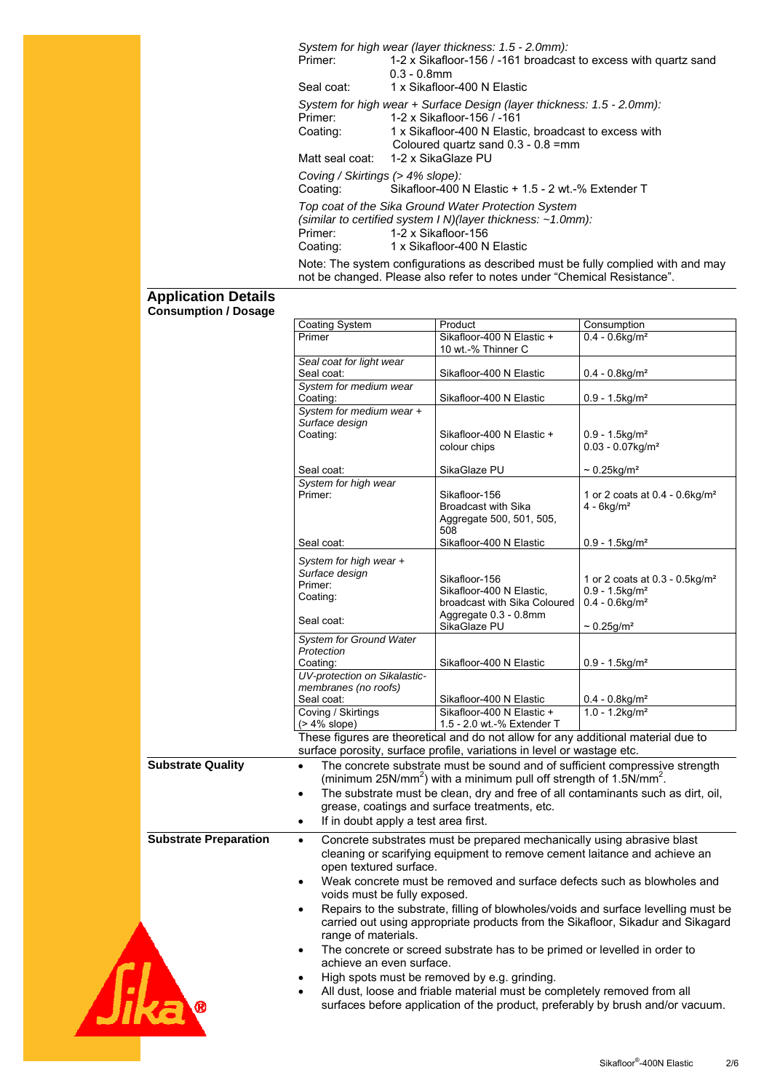*System for high wear (layer thickness: 1.5 - 2.0mm):* 1-2 x Sikafloor-156 / -161 broadcast to excess with quartz sand 0.3 - 0.8mm Seal coat: 1 x Sikafloor-400 N Elastic *System for high wear + Surface Design (layer thickness: 1.5 - 2.0mm):* 1-2 x Sikafloor-156 / -161 Coating: 1 x Sikafloor-400 N Elastic, broadcast to excess with Coloured quartz sand 0.3 - 0.8 =mm Matt seal coat: 1-2 x SikaGlaze PU *Coving / Skirtings (> 4% slope):*  Coating: Sikafloor-400 N Elastic + 1.5 - 2 wt.-% Extender T *Top coat of the Sika Ground Water Protection System (similar to certified system I N)(layer thickness: ~1.0mm):* 1-2 x Sikafloor-156 Coating: 1 x Sikafloor-400 N Elastic

Note: The system configurations as described must be fully complied with and may not be changed. Please also refer to notes under "Chemical Resistance".

## **Application Details Consumption / Dosage**

|                              | Coating System                                                                      | Product                                                                                   | Consumption                                                                        |
|------------------------------|-------------------------------------------------------------------------------------|-------------------------------------------------------------------------------------------|------------------------------------------------------------------------------------|
|                              | Primer                                                                              | Sikafloor-400 N Elastic +                                                                 | $0.4 - 0.6$ kg/m <sup>2</sup>                                                      |
|                              |                                                                                     | 10 wt -% Thinner C                                                                        |                                                                                    |
|                              | Seal coat for light wear                                                            |                                                                                           |                                                                                    |
|                              | Seal coat:                                                                          | Sikafloor-400 N Elastic                                                                   | $0.4 - 0.8$ kg/m <sup>2</sup>                                                      |
|                              | System for medium wear                                                              |                                                                                           |                                                                                    |
|                              | Coating:                                                                            | Sikafloor-400 N Elastic                                                                   | $0.9 - 1.5$ kg/m <sup>2</sup>                                                      |
|                              |                                                                                     |                                                                                           |                                                                                    |
|                              | System for medium wear +                                                            |                                                                                           |                                                                                    |
|                              | Surface design                                                                      |                                                                                           |                                                                                    |
|                              | Coating:                                                                            | Sikafloor-400 N Elastic +                                                                 | $0.9 - 1.5$ kg/m <sup>2</sup>                                                      |
|                              |                                                                                     | colour chips                                                                              | $0.03 - 0.07$ kg/m <sup>2</sup>                                                    |
|                              |                                                                                     |                                                                                           |                                                                                    |
|                              | Seal coat:                                                                          | SikaGlaze PU                                                                              | $\sim 0.25$ kg/m <sup>2</sup>                                                      |
|                              | System for high wear                                                                |                                                                                           |                                                                                    |
|                              | Primer:                                                                             | Sikafloor-156                                                                             | 1 or 2 coats at 0.4 - 0.6kg/m <sup>2</sup>                                         |
|                              |                                                                                     | <b>Broadcast with Sika</b>                                                                | $4 - 6kg/m2$                                                                       |
|                              |                                                                                     | Aggregate 500, 501, 505,                                                                  |                                                                                    |
|                              |                                                                                     | 508                                                                                       |                                                                                    |
|                              | Seal coat:                                                                          | Sikafloor-400 N Elastic                                                                   | $0.9 - 1.5$ kg/m <sup>2</sup>                                                      |
|                              |                                                                                     |                                                                                           |                                                                                    |
|                              | System for high wear +                                                              |                                                                                           |                                                                                    |
|                              | Surface design                                                                      | Sikafloor-156                                                                             |                                                                                    |
|                              | Primer:                                                                             |                                                                                           | 1 or 2 coats at 0.3 - 0.5 kg/m <sup>2</sup>                                        |
|                              | Coating:                                                                            | Sikafloor-400 N Elastic,                                                                  | $0.9 - 1.5$ kg/m <sup>2</sup>                                                      |
|                              |                                                                                     | broadcast with Sika Coloured                                                              | $0.4 - 0.6$ kg/m <sup>2</sup>                                                      |
|                              | Seal coat:                                                                          | Aggregate 0.3 - 0.8mm                                                                     |                                                                                    |
|                              |                                                                                     | SikaGlaze PU                                                                              | $\sim 0.25$ g/m <sup>2</sup>                                                       |
|                              | <b>System for Ground Water</b>                                                      |                                                                                           |                                                                                    |
|                              | Protection                                                                          |                                                                                           |                                                                                    |
|                              | Coating:                                                                            | Sikafloor-400 N Elastic                                                                   | $0.9 - 1.5$ kg/m <sup>2</sup>                                                      |
|                              | UV-protection on Sikalastic-                                                        |                                                                                           |                                                                                    |
|                              | membranes (no roofs)                                                                |                                                                                           |                                                                                    |
|                              | Seal coat:                                                                          | Sikafloor-400 N Elastic                                                                   | $0.4 - 0.8$ kg/m <sup>2</sup>                                                      |
|                              | Coving / Skirtings                                                                  | Sikafloor-400 N Elastic +                                                                 | $1.0 - 1.2$ kg/m <sup>2</sup>                                                      |
|                              | $($ > 4% slope)                                                                     | 1.5 - 2.0 wt.-% Extender T                                                                |                                                                                    |
|                              |                                                                                     | These figures are theoretical and do not allow for any additional material due to         |                                                                                    |
|                              |                                                                                     | surface porosity, surface profile, variations in level or wastage etc.                    |                                                                                    |
|                              |                                                                                     |                                                                                           |                                                                                    |
| <b>Substrate Quality</b>     | $\bullet$                                                                           | The concrete substrate must be sound and of sufficient compressive strength               |                                                                                    |
|                              |                                                                                     | (minimum 25N/mm <sup>2</sup> ) with a minimum pull off strength of 1.5N/mm <sup>2</sup> . |                                                                                    |
|                              | $\bullet$                                                                           | The substrate must be clean, dry and free of all contaminants such as dirt, oil,          |                                                                                    |
|                              |                                                                                     | grease, coatings and surface treatments, etc.                                             |                                                                                    |
|                              | If in doubt apply a test area first.<br>$\bullet$                                   |                                                                                           |                                                                                    |
|                              |                                                                                     |                                                                                           |                                                                                    |
| <b>Substrate Preparation</b> | Concrete substrates must be prepared mechanically using abrasive blast<br>$\bullet$ |                                                                                           |                                                                                    |
|                              |                                                                                     | cleaning or scarifying equipment to remove cement laitance and achieve an                 |                                                                                    |
|                              | open textured surface.                                                              |                                                                                           |                                                                                    |
|                              |                                                                                     |                                                                                           |                                                                                    |
|                              |                                                                                     | Weak concrete must be removed and surface defects such as blowholes and                   |                                                                                    |
|                              | voids must be fully exposed.                                                        |                                                                                           |                                                                                    |
|                              |                                                                                     |                                                                                           | Repairs to the substrate, filling of blowholes/voids and surface levelling must be |
|                              |                                                                                     |                                                                                           | carried out using appropriate products from the Sikafloor, Sikadur and Sikagard    |
|                              | range of materials.                                                                 |                                                                                           |                                                                                    |
|                              |                                                                                     |                                                                                           |                                                                                    |
|                              | ٠                                                                                   | The concrete or screed substrate has to be primed or levelled in order to                 |                                                                                    |
|                              | achieve an even surface.                                                            |                                                                                           |                                                                                    |
|                              |                                                                                     | High spots must be removed by e.g. grinding.                                              |                                                                                    |
|                              |                                                                                     | All dust, loose and friable material must be completely removed from all                  |                                                                                    |
|                              |                                                                                     |                                                                                           | surfaces before application of the product, preferably by brush and/or vacuum.     |
|                              |                                                                                     |                                                                                           |                                                                                    |
|                              |                                                                                     |                                                                                           |                                                                                    |
|                              |                                                                                     |                                                                                           |                                                                                    |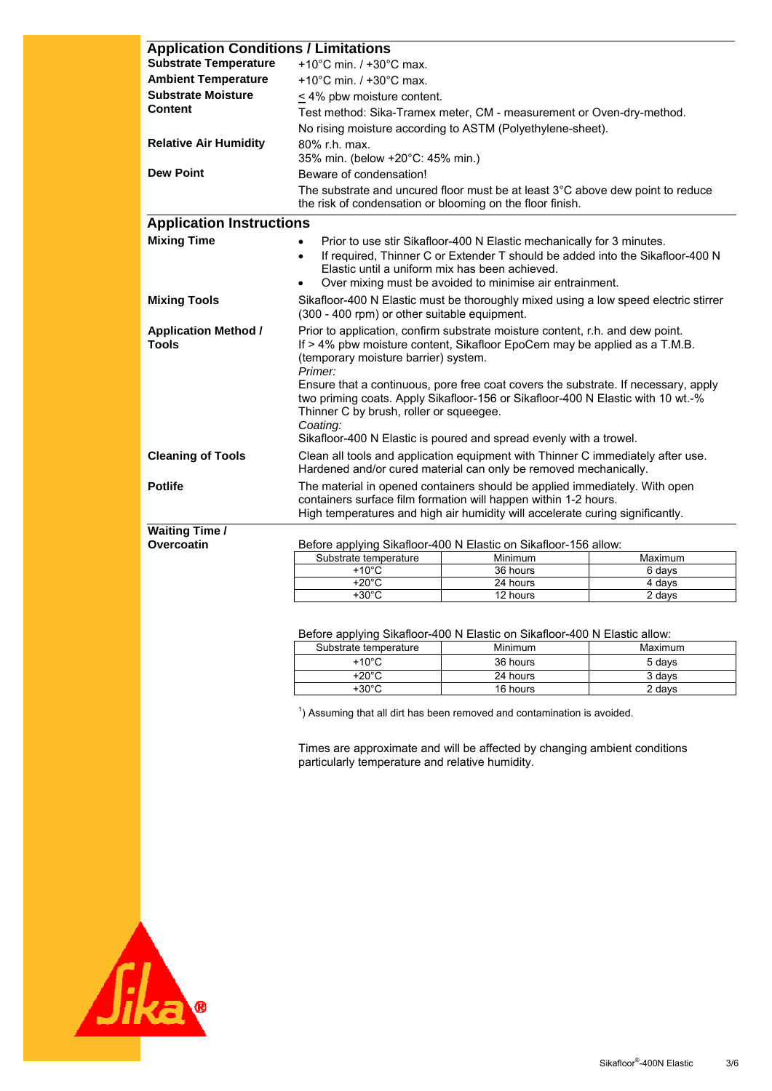| <b>Application Conditions / Limitations</b> |                                                                                                                                                                                                                                                                                                     |                                                                                |                  |  |
|---------------------------------------------|-----------------------------------------------------------------------------------------------------------------------------------------------------------------------------------------------------------------------------------------------------------------------------------------------------|--------------------------------------------------------------------------------|------------------|--|
| <b>Substrate Temperature</b>                | $+10^{\circ}$ C min. / $+30^{\circ}$ C max.                                                                                                                                                                                                                                                         |                                                                                |                  |  |
| <b>Ambient Temperature</b>                  | $+10^{\circ}$ C min. / $+30^{\circ}$ C max.                                                                                                                                                                                                                                                         |                                                                                |                  |  |
| <b>Substrate Moisture</b>                   | < 4% pbw moisture content.                                                                                                                                                                                                                                                                          |                                                                                |                  |  |
| Content                                     | Test method: Sika-Tramex meter, CM - measurement or Oven-dry-method.                                                                                                                                                                                                                                |                                                                                |                  |  |
|                                             |                                                                                                                                                                                                                                                                                                     | No rising moisture according to ASTM (Polyethylene-sheet).                     |                  |  |
| <b>Relative Air Humidity</b>                | 80% r.h. max.                                                                                                                                                                                                                                                                                       |                                                                                |                  |  |
|                                             | 35% min. (below +20°C: 45% min.)                                                                                                                                                                                                                                                                    |                                                                                |                  |  |
| <b>Dew Point</b>                            | Beware of condensation!                                                                                                                                                                                                                                                                             |                                                                                |                  |  |
|                                             | the risk of condensation or blooming on the floor finish.                                                                                                                                                                                                                                           | The substrate and uncured floor must be at least 3°C above dew point to reduce |                  |  |
| <b>Application Instructions</b>             |                                                                                                                                                                                                                                                                                                     |                                                                                |                  |  |
| <b>Mixing Time</b>                          | Prior to use stir Sikafloor-400 N Elastic mechanically for 3 minutes.<br>$\bullet$<br>If required, Thinner C or Extender T should be added into the Sikafloor-400 N<br>$\bullet$<br>Elastic until a uniform mix has been achieved.<br>Over mixing must be avoided to minimise air entrainment.      |                                                                                |                  |  |
| <b>Mixing Tools</b>                         | Sikafloor-400 N Elastic must be thoroughly mixed using a low speed electric stirrer<br>(300 - 400 rpm) or other suitable equipment.                                                                                                                                                                 |                                                                                |                  |  |
| <b>Application Method /</b><br><b>Tools</b> | Prior to application, confirm substrate moisture content, r.h. and dew point.<br>If > 4% pbw moisture content, Sikafloor EpoCem may be applied as a T.M.B.<br>(temporary moisture barrier) system.<br>Primer:<br>Ensure that a continuous, pore free coat covers the substrate. If necessary, apply |                                                                                |                  |  |
|                                             | two priming coats. Apply Sikafloor-156 or Sikafloor-400 N Elastic with 10 wt.-%<br>Thinner C by brush, roller or squeegee.<br>Coating:<br>Sikafloor-400 N Elastic is poured and spread evenly with a trowel.                                                                                        |                                                                                |                  |  |
| <b>Cleaning of Tools</b>                    | Clean all tools and application equipment with Thinner C immediately after use.<br>Hardened and/or cured material can only be removed mechanically.                                                                                                                                                 |                                                                                |                  |  |
| <b>Potlife</b>                              | The material in opened containers should be applied immediately. With open<br>containers surface film formation will happen within 1-2 hours.<br>High temperatures and high air humidity will accelerate curing significantly.                                                                      |                                                                                |                  |  |
| <b>Waiting Time /</b>                       |                                                                                                                                                                                                                                                                                                     |                                                                                |                  |  |
| Overcoatin                                  |                                                                                                                                                                                                                                                                                                     | Before applying Sikafloor-400 N Elastic on Sikafloor-156 allow:                |                  |  |
|                                             | Substrate temperature                                                                                                                                                                                                                                                                               | Minimum                                                                        | Maximum          |  |
|                                             | $+10^{\circ}$ C<br>$+20^{\circ}$ C                                                                                                                                                                                                                                                                  | 36 hours<br>24 hours                                                           | 6 days<br>4 days |  |
|                                             | $+30^{\circ}$ C<br>12 hours<br>2 days                                                                                                                                                                                                                                                               |                                                                                |                  |  |

Before applying Sikafloor-400 N Elastic on Sikafloor-400 N Elastic allow:

| Substrate temperature | <b>Minimum</b> | Maximum |
|-----------------------|----------------|---------|
| $+10^{\circ}$ C       | 36 hours       | 5 days  |
| +20°C                 | 24 hours       | 3 days  |
| $+30^{\circ}$ C       | 16 hours       | 2 days  |

 $1$ ) Assuming that all dirt has been removed and contamination is avoided.

Times are approximate and will be affected by changing ambient conditions particularly temperature and relative humidity.

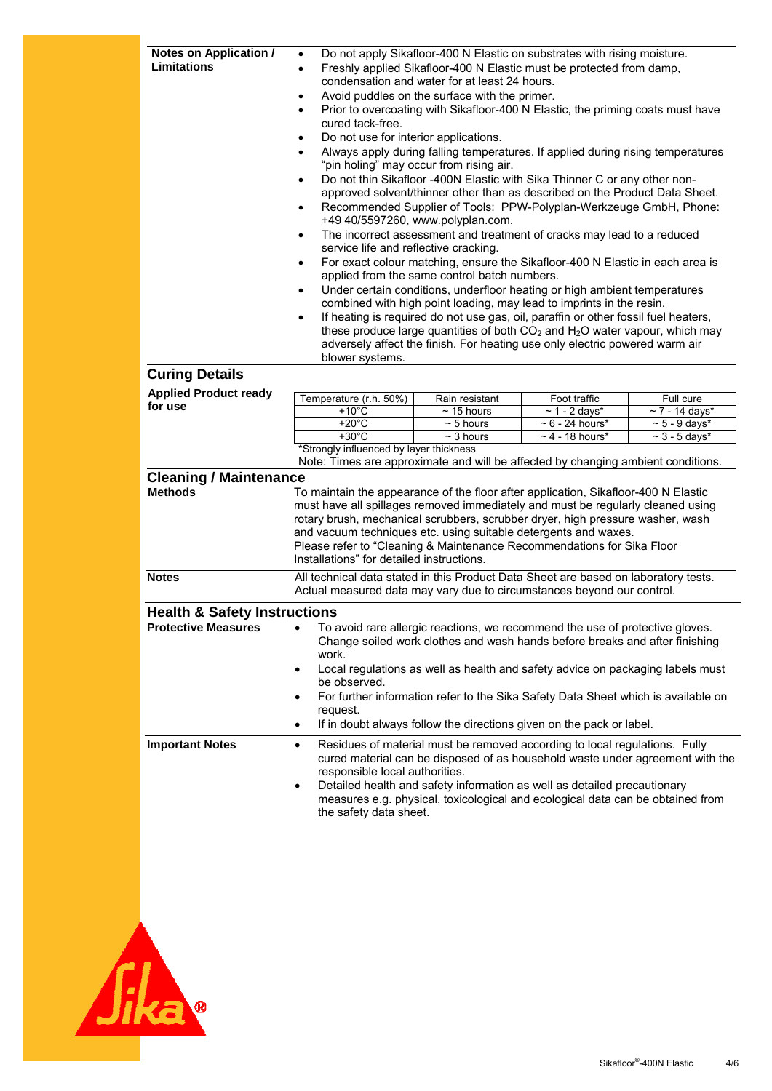| Notes on Application /<br><b>Limitations</b>                                                                        | $\bullet$<br>٠<br>$\bullet$<br>$\bullet$<br>cured tack-free.<br>Do not use for interior applications.<br>$\bullet$<br>$\bullet$<br>service life and reflective cracking.<br>٠<br>$\bullet$<br>$\bullet$<br>blower systems.                                                                                                                                                                                                                                                                                                        | condensation and water for at least 24 hours.<br>Avoid puddles on the surface with the primer.<br>"pin holing" may occur from rising air.<br>+49 40/5597260, www.polyplan.com.<br>applied from the same control batch numbers. | Do not apply Sikafloor-400 N Elastic on substrates with rising moisture.<br>Freshly applied Sikafloor-400 N Elastic must be protected from damp,<br>Prior to overcoating with Sikafloor-400 N Elastic, the priming coats must have<br>Always apply during falling temperatures. If applied during rising temperatures<br>Do not thin Sikafloor -400N Elastic with Sika Thinner C or any other non-<br>approved solvent/thinner other than as described on the Product Data Sheet.<br>Recommended Supplier of Tools: PPW-Polyplan-Werkzeuge GmbH, Phone:<br>The incorrect assessment and treatment of cracks may lead to a reduced<br>For exact colour matching, ensure the Sikafloor-400 N Elastic in each area is<br>Under certain conditions, underfloor heating or high ambient temperatures<br>combined with high point loading, may lead to imprints in the resin.<br>If heating is required do not use gas, oil, paraffin or other fossil fuel heaters,<br>these produce large quantities of both $CO2$ and H <sub>2</sub> O water vapour, which may<br>adversely affect the finish. For heating use only electric powered warm air |                                                                              |
|---------------------------------------------------------------------------------------------------------------------|-----------------------------------------------------------------------------------------------------------------------------------------------------------------------------------------------------------------------------------------------------------------------------------------------------------------------------------------------------------------------------------------------------------------------------------------------------------------------------------------------------------------------------------|--------------------------------------------------------------------------------------------------------------------------------------------------------------------------------------------------------------------------------|-------------------------------------------------------------------------------------------------------------------------------------------------------------------------------------------------------------------------------------------------------------------------------------------------------------------------------------------------------------------------------------------------------------------------------------------------------------------------------------------------------------------------------------------------------------------------------------------------------------------------------------------------------------------------------------------------------------------------------------------------------------------------------------------------------------------------------------------------------------------------------------------------------------------------------------------------------------------------------------------------------------------------------------------------------------------------------------------------------------------------------------------|------------------------------------------------------------------------------|
| <b>Curing Details</b><br><b>Applied Product ready</b><br>for use<br><b>Cleaning / Maintenance</b><br><b>Methods</b> | Temperature (r.h. 50%)<br>$+10^{\circ}$ C<br>$+20^{\circ}$ C<br>$+30^{\circ}$ C<br>*Strongly influenced by layer thickness<br>Note: Times are approximate and will be affected by changing ambient conditions.<br>To maintain the appearance of the floor after application, Sikafloor-400 N Elastic<br>must have all spillages removed immediately and must be regularly cleaned using                                                                                                                                           | Rain resistant<br>$\sim$ 15 hours<br>$\sim$ 5 hours<br>$\overline{\sim}$ 3 hours                                                                                                                                               | Foot traffic<br>$\sim$ 1 - 2 days*<br>$\sim$ 6 - 24 hours*<br>$\sim$ 4 - 18 hours*                                                                                                                                                                                                                                                                                                                                                                                                                                                                                                                                                                                                                                                                                                                                                                                                                                                                                                                                                                                                                                                        | Full cure<br>$\sim$ 7 - 14 days*<br>$\sim$ 5 - 9 days*<br>$\sim$ 3 - 5 days* |
| <b>Notes</b>                                                                                                        | rotary brush, mechanical scrubbers, scrubber dryer, high pressure washer, wash<br>and vacuum techniques etc. using suitable detergents and waxes.<br>Please refer to "Cleaning & Maintenance Recommendations for Sika Floor<br>Installations" for detailed instructions.<br>All technical data stated in this Product Data Sheet are based on laboratory tests.<br>Actual measured data may vary due to circumstances beyond our control.                                                                                         |                                                                                                                                                                                                                                |                                                                                                                                                                                                                                                                                                                                                                                                                                                                                                                                                                                                                                                                                                                                                                                                                                                                                                                                                                                                                                                                                                                                           |                                                                              |
| <b>Protective Measures</b>                                                                                          | <b>Health &amp; Safety Instructions</b><br>To avoid rare allergic reactions, we recommend the use of protective gloves.<br>Change soiled work clothes and wash hands before breaks and after finishing<br>work.<br>Local regulations as well as health and safety advice on packaging labels must<br>$\bullet$<br>be observed.<br>For further information refer to the Sika Safety Data Sheet which is available on<br>$\bullet$<br>request.<br>If in doubt always follow the directions given on the pack or label.<br>$\bullet$ |                                                                                                                                                                                                                                |                                                                                                                                                                                                                                                                                                                                                                                                                                                                                                                                                                                                                                                                                                                                                                                                                                                                                                                                                                                                                                                                                                                                           |                                                                              |
| <b>Important Notes</b>                                                                                              | Residues of material must be removed according to local regulations. Fully<br>$\bullet$<br>cured material can be disposed of as household waste under agreement with the<br>responsible local authorities.<br>Detailed health and safety information as well as detailed precautionary<br>$\bullet$<br>measures e.g. physical, toxicological and ecological data can be obtained from<br>the safety data sheet.                                                                                                                   |                                                                                                                                                                                                                                |                                                                                                                                                                                                                                                                                                                                                                                                                                                                                                                                                                                                                                                                                                                                                                                                                                                                                                                                                                                                                                                                                                                                           |                                                                              |

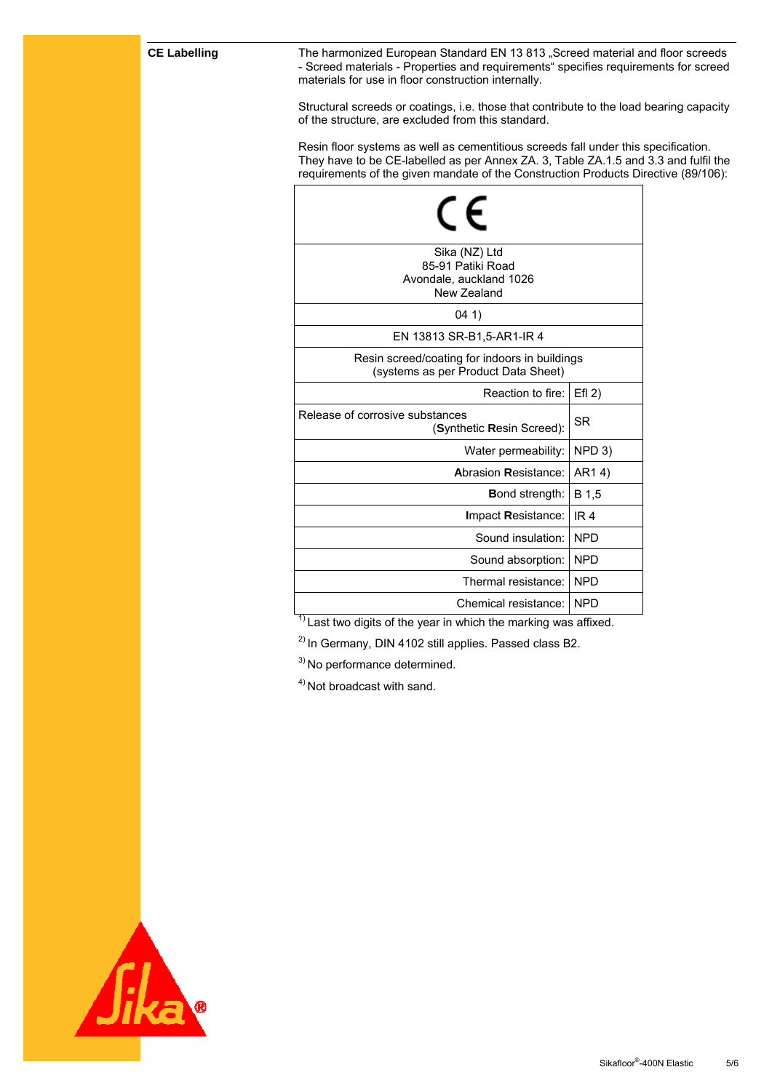**CE Labelling** The harmonized European Standard EN 13 813 "Screed material and floor screeds - Screed materials - Properties and requirements" specifies requirements for screed materials for use in floor construction internally.

> Structural screeds or coatings, i.e. those that contribute to the load bearing capacity of the structure, are excluded from this standard.

> Resin floor systems as well as cementitious screeds fall under this specification. They have to be CE-labelled as per Annex ZA. 3, Table ZA.1.5 and 3.3 and fulfil the requirements of the given mandate of the Construction Products Directive (89/106):

| Sika (NZ) Ltd<br>85-91 Patiki Road<br>Avondale, auckland 1026<br>New Zealand         |                 |  |
|--------------------------------------------------------------------------------------|-----------------|--|
| 041)                                                                                 |                 |  |
| EN 13813 SR-B1,5-AR1-IR 4                                                            |                 |  |
| Resin screed/coating for indoors in buildings<br>(systems as per Product Data Sheet) |                 |  |
| Reaction to fire:                                                                    | $Efl$ 2)        |  |
| Release of corrosive substances<br>(Synthetic Resin Screed):                         | SR              |  |
| Water permeability:                                                                  | NPD 3)          |  |
| <b>Abrasion Resistance:</b>                                                          | AR14)           |  |
| <b>Bond strength:</b>                                                                | B 1,5           |  |
| Impact Resistance:                                                                   | IR <sub>4</sub> |  |
| Sound insulation:                                                                    | <b>NPD</b>      |  |
| Sound absorption:                                                                    | <b>NPD</b>      |  |
| Thermal resistance:                                                                  | <b>NPD</b>      |  |
| Chemical resistance:                                                                 | <b>NPD</b>      |  |

 $1)$  Last two digits of the year in which the marking was affixed.

2) In Germany, DIN 4102 still applies. Passed class B2.

3) No performance determined.

4) Not broadcast with sand.